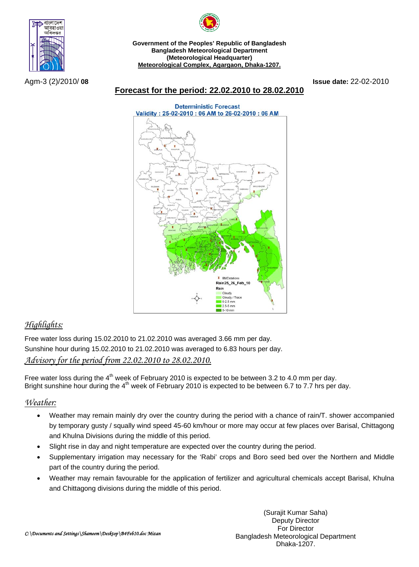



**Government of the Peoples' Republic of Bangladesh Bangladesh Meteorological Department (Meteorological Headquarter) Meteorological Complex, Agargaon, Dhaka-1207.**

Agm-3 (2)/2010/ **08 Issue date:** 22-02-2010

#### **Forecast for the period: 22.02.2010 to 28.02.2010**



# *Highlights:*

Free water loss during 15.02.2010 to 21.02.2010 was averaged 3.66 mm per day. Sunshine hour during 15.02.2010 to 21.02.2010 was averaged to 6.83 hours per day. *Advisory for the period from 22.02.2010 to 28.02.2010.*

Free water loss during the  $4<sup>th</sup>$  week of February 2010 is expected to be between 3.2 to 4.0 mm per day. Bright sunshine hour during the  $4<sup>th</sup>$  week of February 2010 is expected to be between 6.7 to 7.7 hrs per day.

## *Weather:*

- Weather may remain mainly dry over the country during the period with a chance of rain/T. shower accompanied by temporary gusty / squally wind speed 45-60 km/hour or more may occur at few places over Barisal, Chittagong and Khulna Divisions during the middle of this period.
- Slight rise in day and night temperature are expected over the country during the period.
- Supplementary irrigation may necessary for the 'Rabi' crops and Boro seed bed over the Northern and Middle part of the country during the period.
- Weather may remain favourable for the application of fertilizer and agricultural chemicals accept Barisal, Khulna and Chittagong divisions during the middle of this period.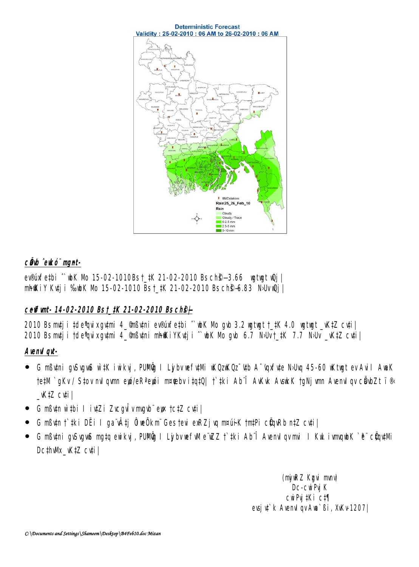

## câb ^ekó" nunt-

evement of the K and 15-02-1010Bs t\_tK 21-02-2010 Bs ch \$-3.66 with the legi**nhikiv Kuji : %bK Nb 15-02-1010 Bst\_#K 21-02-2010 Bsch@-6.83 NJlvQj |** 

## ceffunt-14-02-2010 Bst\_#K 21-02-2010 Bsch\$

2010 Bs mtj i tde quixqumi 4\_9nßumi ev®infetbi ^ uhk Nb gub 3.2 ugtugt †\_#K 4.0 ugtugt \_vK#Z cuti | 2010 Bsmtji tde quixqumi 4\_9hBumi mhikiyKutji ^ wK Nb qub 6.7 NbUvt\_#K 7.7 NbUv \_vKtZ cuti

## Avend ad-

- **G nßüni guSuguS w.tK i wikyi, PUNÖg I LybvæfulVi uKOzuKOz üb A üpufute Nobuq 45-60 uKtugt ev A vi I AuaK**  $\bullet$ **te#M`gKv/Stovmdgymepi/eR<sup>2</sup>epi m¤tebvitgtQ| t`tki Ab^î AvKvk AvskK tgNjym AvemdgycÖlbZt`i®**  $KZ$  cuil
- G mßutn w thi I iut Zi Zuegu trungub eux tet Z euti
- **G nßựn † tki DËi I ga vậtj ÔueÕkm Gestevi ex Zj vụ nrưnh K tmtPi cũn Rb ntZ cyti |**  $\bullet$
- G mßüni guSuguS matg ewikuj, PUNÜ I Lijbvuefwle uzz f tki Ab î Avenulgymi I Kul ivmgub K e cümutvi  $\bullet$ DcthWk\_K#Z cvti

(ný RZ Kgui mný Dc-cwPuiK cuPy tKi ct¶ evsj u<sup>\*</sup> k Avenul gv Aua<sup>\*</sup> Bi, XvKv 1207 |